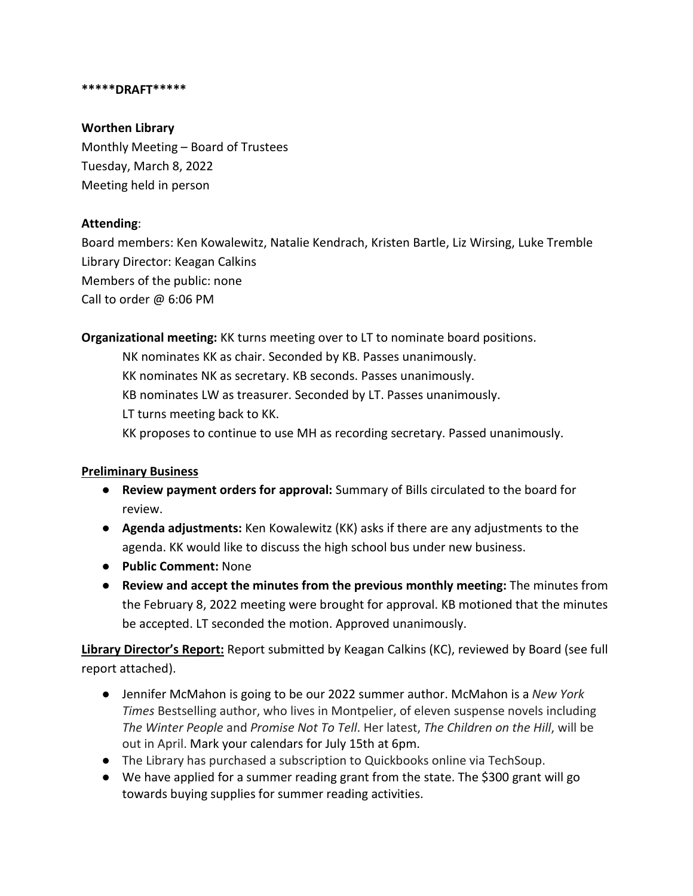#### **\*\*\*\*\*DRAFT\*\*\*\*\***

### **Worthen Library**

Monthly Meeting – Board of Trustees Tuesday, March 8, 2022 Meeting held in person

### **Attending**:

Board members: Ken Kowalewitz, Natalie Kendrach, Kristen Bartle, Liz Wirsing, Luke Tremble Library Director: Keagan Calkins Members of the public: none Call to order @ 6:06 PM

**Organizational meeting:** KK turns meeting over to LT to nominate board positions.

NK nominates KK as chair. Seconded by KB. Passes unanimously. KK nominates NK as secretary. KB seconds. Passes unanimously. KB nominates LW as treasurer. Seconded by LT. Passes unanimously. LT turns meeting back to KK. KK proposes to continue to use MH as recording secretary. Passed unanimously.

# **Preliminary Business**

- **Review payment orders for approval:** Summary of Bills circulated to the board for review.
- **Agenda adjustments:** Ken Kowalewitz (KK) asks if there are any adjustments to the agenda. KK would like to discuss the high school bus under new business.
- **Public Comment:** None
- **Review and accept the minutes from the previous monthly meeting:** The minutes from the February 8, 2022 meeting were brought for approval. KB motioned that the minutes be accepted. LT seconded the motion. Approved unanimously.

**Library Director's Report:** Report submitted by Keagan Calkins (KC), reviewed by Board (see full report attached).

- Jennifer McMahon is going to be our 2022 summer author. McMahon is a *New York Times* Bestselling author, who lives in Montpelier, of eleven suspense novels including *The Winter People* and *Promise Not To Tell*. Her latest, *The Children on the Hill*, will be out in April. Mark your calendars for July 15th at 6pm.
- The Library has purchased a subscription to Quickbooks online via TechSoup.
- We have applied for a summer reading grant from the state. The \$300 grant will go towards buying supplies for summer reading activities.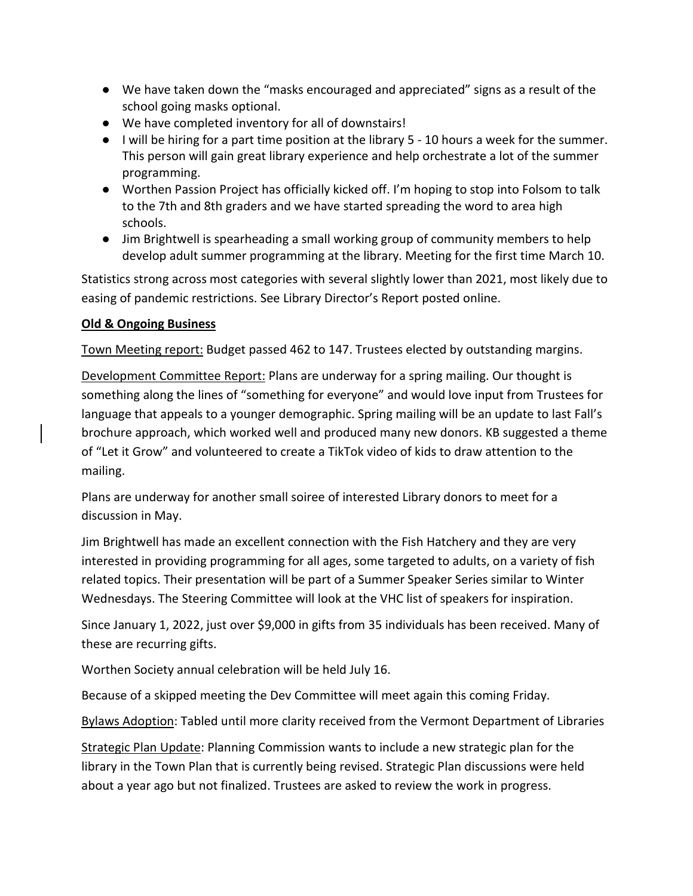- We have taken down the "masks encouraged and appreciated" signs as a result of the school going masks optional.
- We have completed inventory for all of downstairs!
- I will be hiring for a part time position at the library 5 10 hours a week for the summer. This person will gain great library experience and help orchestrate a lot of the summer programming.
- Worthen Passion Project has officially kicked off. I'm hoping to stop into Folsom to talk to the 7th and 8th graders and we have started spreading the word to area high schools.
- Jim Brightwell is spearheading a small working group of community members to help develop adult summer programming at the library. Meeting for the first time March 10.

Statistics strong across most categories with several slightly lower than 2021, most likely due to easing of pandemic restrictions. See Library Director's Report posted online.

## **Old & Ongoing Business**

Town Meeting report: Budget passed 462 to 147. Trustees elected by outstanding margins.

Development Committee Report: Plans are underway for a spring mailing. Our thought is something along the lines of "something for everyone" and would love input from Trustees for language that appeals to a younger demographic. Spring mailing will be an update to last Fall's brochure approach, which worked well and produced many new donors. KB suggested a theme of "Let it Grow" and volunteered to create a TikTok video of kids to draw attention to the mailing.

Plans are underway for another small soiree of interested Library donors to meet for a discussion in May.

Jim Brightwell has made an excellent connection with the Fish Hatchery and they are very interested in providing programming for all ages, some targeted to adults, on a variety of fish related topics. Their presentation will be part of a Summer Speaker Series similar to Winter Wednesdays. The Steering Committee will look at the VHC list of speakers for inspiration.

Since January 1, 2022, just over \$9,000 in gifts from 35 individuals has been received. Many of these are recurring gifts.

Worthen Society annual celebration will be held July 16.

Because of a skipped meeting the Dev Committee will meet again this coming Friday.

Bylaws Adoption: Tabled until more clarity received from the Vermont Department of Libraries

Strategic Plan Update: Planning Commission wants to include a new strategic plan for the library in the Town Plan that is currently being revised. Strategic Plan discussions were held about a year ago but not finalized. Trustees are asked to review the work in progress.